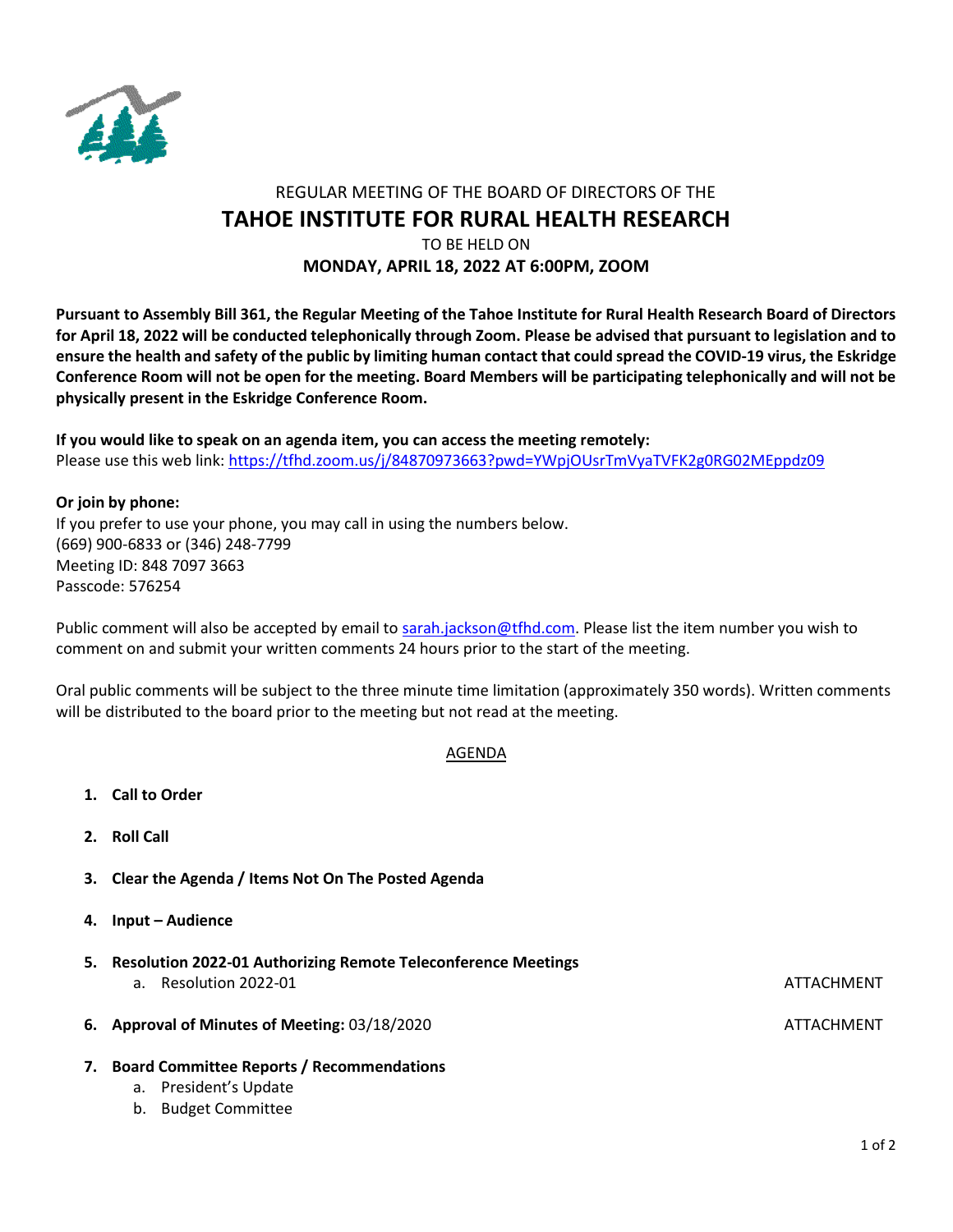

# REGULAR MEETING OF THE BOARD OF DIRECTORS OF THE **TAHOE INSTITUTE FOR RURAL HEALTH RESEARCH**

## TO BE HELD ON **MONDAY, APRIL 18, 2022 AT 6:00PM, ZOOM**

**Pursuant to Assembly Bill 361, the Regular Meeting of the Tahoe Institute for Rural Health Research Board of Directors for April 18, 2022 will be conducted telephonically through Zoom. Please be advised that pursuant to legislation and to ensure the health and safety of the public by limiting human contact that could spread the COVID-19 virus, the Eskridge Conference Room will not be open for the meeting. Board Members will be participating telephonically and will not be physically present in the Eskridge Conference Room.**

**If you would like to speak on an agenda item, you can access the meeting remotely:**  Please use this web link:<https://tfhd.zoom.us/j/84870973663?pwd=YWpjOUsrTmVyaTVFK2g0RG02MEppdz09>

### **Or join by phone:**

If you prefer to use your phone, you may call in using the numbers below. (669) 900-6833 or (346) 248-7799 Meeting ID: 848 7097 3663 Passcode: 576254

Public comment will also be accepted by email to [sarah.jackson@tfhd.com.](mailto:sarah.jackson@tfhd.com) Please list the item number you wish to comment on and submit your written comments 24 hours prior to the start of the meeting.

Oral public comments will be subject to the three minute time limitation (approximately 350 words). Written comments will be distributed to the board prior to the meeting but not read at the meeting.

# AGENDA

- **1. Call to Order**
- **2. Roll Call**
- **3. Clear the Agenda / Items Not On The Posted Agenda**
- **4. Input – Audience**
- **5. Resolution 2022-01 Authorizing Remote Teleconference Meetings**  a. Resolution 2022-01 ATTACHMENT AND RESOLUTION ATTACHMENT **6.** Approval of Minutes of Meeting: 03/18/2020 ATTACHMENT
- **7. Board Committee Reports / Recommendations**
	- a. President's Update
	- b. Budget Committee